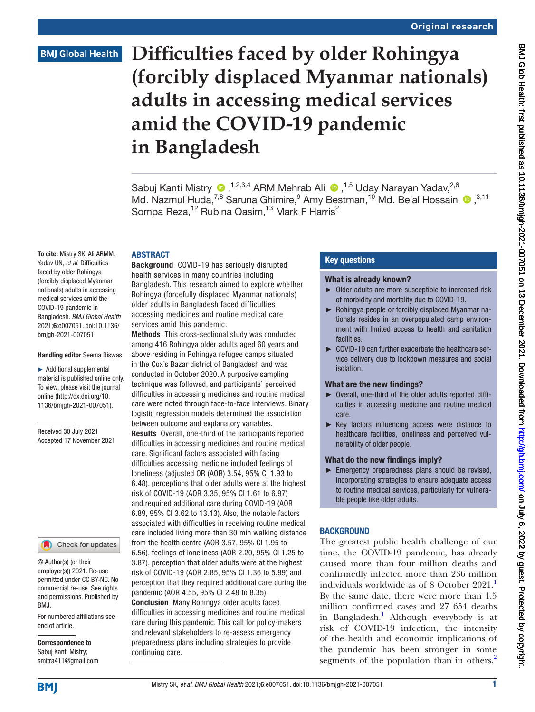# **Difficulties faced by older Rohingya (forcibly displaced Myanmar nationals) adults in accessing medical services amid the COVID-19 pandemic in Bangladesh**

SabujKanti Mistry  $\bullet$ ,<sup>1,2,3,4</sup> ARM Mehrab Ali  $\bullet$ ,<sup>1,5</sup> Uday Narayan Yadav,<sup>2,6</sup> Md.Nazmul Huda,<sup>7,8</sup> Saruna Ghimire,  $9$  Amy Bestman,  $^{10}$  Md. Belal Hossain  $\bigcirc$ ,  $^{3,11}$ Sompa Reza,<sup>12</sup> Rubina Qasim,<sup>13</sup> Mark F Harris<sup>2</sup>

#### ABSTRACT

To cite: Mistry SK, Ali ARMM, Yadav UN, *et al*. Difficulties faced by older Rohingya (forcibly displaced Myanmar nationals) adults in accessing medical services amid the COVID-19 pandemic in Bangladesh. *BMJ Global Health* 2021;6:e007051. doi:10.1136/ bmjgh-2021-007051

#### Handling editor Seema Biswas

► Additional supplemental material is published online only. To view, please visit the journal online ([http://dx.doi.org/10.](http://dx.doi.org/10.1136/bmjgh-2021-007051) [1136/bmjgh-2021-007051](http://dx.doi.org/10.1136/bmjgh-2021-007051)).

Received 30 July 2021 Accepted 17 November 2021

#### Check for updates

© Author(s) (or their employer(s)) 2021. Re-use permitted under CC BY-NC. No commercial re-use. See rights and permissions. Published by BMJ.

For numbered affiliations see end of article.

Correspondence to Sabuj Kanti Mistry; smitra411@gmail.com

Background COVID-19 has seriously disrupted health services in many countries including Bangladesh. This research aimed to explore whether Rohingya (forcefully displaced Myanmar nationals) older adults in Bangladesh faced difficulties accessing medicines and routine medical care services amid this pandemic.

Methods This cross-sectional study was conducted among 416 Rohingya older adults aged 60 years and above residing in Rohingya refugee camps situated in the Cox's Bazar district of Bangladesh and was conducted in October 2020. A purposive sampling technique was followed, and participants' perceived difficulties in accessing medicines and routine medical care were noted through face-to-face interviews. Binary logistic regression models determined the association between outcome and explanatory variables. Results Overall, one-third of the participants reported difficulties in accessing medicines and routine medical care. Significant factors associated with facing difficulties accessing medicine included feelings of loneliness (adjusted OR (AOR) 3.54, 95% CI 1.93 to 6.48), perceptions that older adults were at the highest risk of COVID-19 (AOR 3.35, 95% CI 1.61 to 6.97) and required additional care during COVID-19 (AOR 6.89, 95% CI 3.62 to 13.13). Also, the notable factors associated with difficulties in receiving routine medical care included living more than 30 min walking distance from the health centre (AOR 3.57, 95% CI 1.95 to 6.56), feelings of loneliness (AOR 2.20, 95% CI 1.25 to 3.87), perception that older adults were at the highest risk of COVID-19 (AOR 2.85, 95% CI 1.36 to 5.99) and perception that they required additional care during the pandemic (AOR 4.55, 95% CI 2.48 to 8.35). Conclusion Many Rohingya older adults faced difficulties in accessing medicines and routine medical care during this pandemic. This call for policy-makers and relevant stakeholders to re-assess emergency preparedness plans including strategies to provide continuing care.

## Key questions

#### What is already known?

- ► Older adults are more susceptible to increased risk of morbidity and mortality due to COVID-19.
- ► Rohingya people or forcibly displaced Myanmar nationals resides in an overpopulated camp environment with limited access to health and sanitation facilities.
- ► COVID-19 can further exacerbate the healthcare service delivery due to lockdown measures and social isolation.

#### What are the new findings?

- ► Overall, one-third of the older adults reported difficulties in accessing medicine and routine medical care.
- ► Key factors influencing access were distance to healthcare facilities, loneliness and perceived vulnerability of older people.

#### What do the new findings imply?

► Emergency preparedness plans should be revised, incorporating strategies to ensure adequate access to routine medical services, particularly for vulnerable people like older adults.

## **BACKGROUND**

The greatest public health challenge of our time, the COVID-19 pandemic, has already caused more than four million deaths and confirmedly infected more than 236 million individuals worldwide as of 8 October  $2021$  $2021$ .<sup>1</sup> By the same date, there were more than 1.5 million confirmed cases and 27 654 deaths in Bangladesh.<sup>[1](#page-8-0)</sup> Although everybody is at risk of COVID-19 infection, the intensity of the health and economic implications of the pandemic has been stronger in some segments of the population than in others.<sup>[2](#page-8-1)</sup>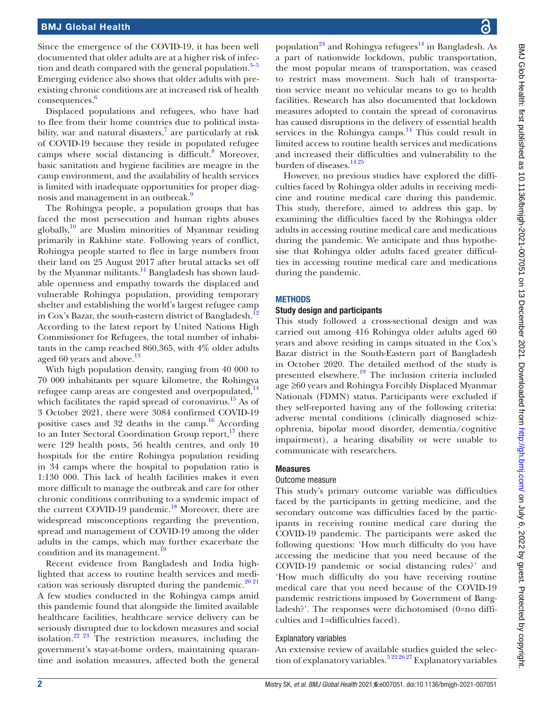Since the emergence of the COVID-19, it has been well documented that older adults are at a higher risk of infection and death compared with the general population. $3-5$ Emerging evidence also shows that older adults with preexisting chronic conditions are at increased risk of health consequences. [6](#page-8-3)

Displaced populations and refugees, who have had to flee from their home countries due to political insta-bility, war and natural disasters,<sup>[7](#page-8-4)</sup> are particularly at risk of COVID-19 because they reside in populated refugee camps where social distancing is difficult.<sup>8</sup> Moreover, basic sanitation and hygiene facilities are meagre in the camp environment, and the availability of health services is limited with inadequate opportunities for proper diag-nosis and management in an outbreak.<sup>[9](#page-8-6)</sup>

The Rohingya people, a population groups that has faced the most persecution and human rights abuses globally, $10$  are Muslim minorities of Myanmar residing primarily in Rakhine state. Following years of conflict, Rohingya people started to flee in large numbers from their land on 25 August 2017 after brutal attacks set off by the Myanmar militants.<sup>[11](#page-8-8)</sup> Bangladesh has shown laudable openness and empathy towards the displaced and vulnerable Rohingya population, providing temporary shelter and establishing the world's largest refugee camp in Cox's Bazar, the south-eastern district of Bangladesh.<sup>[12](#page-8-9)</sup> According to the latest report by United Nations High Commissioner for Refugees, the total number of inhabitants in the camp reached 860,365, with 4% older adults aged 60 years and above.<sup>[13](#page-8-10)</sup>

With high population density, ranging from 40 000 to 70 000 inhabitants per square kilometre, the Rohingya refugee camp areas are congested and overpopulated, $^{14}$ which facilitates the rapid spread of coronavirus.<sup>15</sup> As of 3 October 2021, there were 3084 confirmed COVID-19 positive cases and 32 deaths in the camp. $16$  According to an Inter Sectoral Coordination Group report,<sup>17</sup> there were 129 health posts, 56 health centres, and only 10 hospitals for the entire Rohingya population residing in 34 camps where the hospital to population ratio is 1:130 000. This lack of health facilities makes it even more difficult to manage the outbreak and care for other chronic conditions contributing to a syndemic impact of the current COVID-19 pandemic.<sup>[18](#page-8-15)</sup> Moreover, there are widespread misconceptions regarding the prevention, spread and management of COVID-19 among the older adults in the camps, which may further exacerbate the condition and its management.<sup>19</sup>

Recent evidence from Bangladesh and India highlighted that access to routine health services and medi-cation was seriously disrupted during the pandemic.<sup>[20 21](#page-8-17)</sup> A few studies conducted in the Rohingya camps amid this pandemic found that alongside the limited available healthcare facilities, healthcare service delivery can be seriously disrupted due to lockdown measures and social isolation.[22 23](#page-8-18) The restriction measures, including the government's stay-at-home orders, maintaining quarantine and isolation measures, affected both the general

BMJ Glob Health: first published as 10.1136/bmigh-2021-007051 on 13 December 2021. Downloaded from http://gh.bmj.com/ on July 6, 2022 by guest. Protected by copyright BMJ Glob Health: first published as 10.1136/bmjgh-2021-007051 on 13 December 2021. Downloaded from <http://gh.bmj.com/> on July 6, 2022 by guest. Protected by copyright

population<sup>24</sup> and Rohingya refugees<sup>14</sup> in Bangladesh. As a part of nationwide lockdown, public transportation, the most popular means of transportation, was ceased to restrict mass movement. Such halt of transportation service meant no vehicular means to go to health facilities. Research has also documented that lockdown measures adopted to contain the spread of coronavirus has caused disruptions in the delivery of essential health services in the Rohingya camps. $^{14}$  This could result in limited access to routine health services and medications and increased their difficulties and vulnerability to the burden of diseases.<sup>[14 25](#page-8-11)</sup>

However, no previous studies have explored the difficulties faced by Rohingya older adults in receiving medicine and routine medical care during this pandemic. This study, therefore, aimed to address this gap, by examining the difficulties faced by the Rohingya older adults in accessing routine medical care and medications during the pandemic. We anticipate and thus hypothesise that Rohingya older adults faced greater difficulties in accessing routine medical care and medications during the pandemic.

## **METHODS**

## Study design and participants

This study followed a cross-sectional design and was carried out among 416 Rohingya older adults aged 60 years and above residing in camps situated in the Cox's Bazar district in the South-Eastern part of Bangladesh in October 2020. The detailed method of the study is presented elsewhere[.19](#page-8-16) The inclusion criteria included age ≥60 years and Rohingya Forcibly Displaced Myanmar Nationals (FDMN) status. Participants were excluded if they self-reported having any of the following criteria: adverse mental conditions (clinically diagnosed schizophrenia, bipolar mood disorder, dementia/cognitive impairment), a hearing disability or were unable to communicate with researchers.

## **Measures**

## Outcome measure

This study's primary outcome variable was difficulties faced by the participants in getting medicine, and the secondary outcome was difficulties faced by the participants in receiving routine medical care during the COVID-19 pandemic. The participants were asked the following questions: 'How much difficulty do you have accessing the medicine that you need because of the COVID-19 pandemic or social distancing rules?' and 'How much difficulty do you have receiving routine medical care that you need because of the COVID-19 pandemic restrictions imposed by Government of Bangladesh?'. The responses were dichotomised (0=no difficulties and 1=difficulties faced).

## Explanatory variables

An extensive review of available studies guided the selection of explanatory variables.<sup>5 22 26 27</sup> Explanatory variables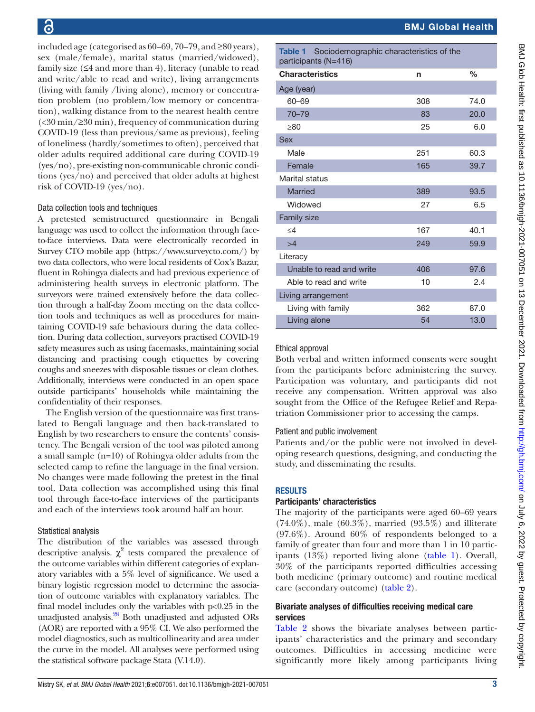included age (categorised as 60–69, 70–79, and ≥80 years), sex (male/female), marital status (married/widowed), family size  $(≤4$  and more than 4), literacy (unable to read and write/able to read and write), living arrangements (living with family /living alone), memory or concentration problem (no problem/low memory or concentration), walking distance from to the nearest health centre (<30 min/≥30 min), frequency of communication during COVID-19 (less than previous/same as previous), feeling of loneliness (hardly/sometimes to often), perceived that older adults required additional care during COVID-19 (yes/no), pre-existing non-communicable chronic conditions (yes/no) and perceived that older adults at highest risk of COVID-19 (yes/no).

#### Data collection tools and techniques

A pretested semistructured questionnaire in Bengali language was used to collect the information through faceto-face interviews. Data were electronically recorded in Survey CTO mobile app [\(https://www.surveycto.com/\)](https://www.surveycto.com/) by two data collectors, who were local residents of Cox's Bazar, fluent in Rohingya dialects and had previous experience of administering health surveys in electronic platform. The surveyors were trained extensively before the data collection through a half-day Zoom meeting on the data collection tools and techniques as well as procedures for maintaining COVID-19 safe behaviours during the data collection. During data collection, surveyors practised COVID-19 safety measures such as using facemasks, maintaining social distancing and practising cough etiquettes by covering coughs and sneezes with disposable tissues or clean clothes. Additionally, interviews were conducted in an open space outside participants' households while maintaining the confidentiality of their responses.

The English version of the questionnaire was first translated to Bengali language and then back-translated to English by two researchers to ensure the contents' consistency. The Bengali version of the tool was piloted among a small sample (n=10) of Rohingya older adults from the selected camp to refine the language in the final version. No changes were made following the pretest in the final tool. Data collection was accomplished using this final tool through face-to-face interviews of the participants and each of the interviews took around half an hour.

#### Statistical analysis

The distribution of the variables was assessed through descriptive analysis.  $\chi^2$  tests compared the prevalence of the outcome variables within different categories of explanatory variables with a 5% level of significance. We used a binary logistic regression model to determine the association of outcome variables with explanatory variables. The final model includes only the variables with  $p<0.25$  in the unadjusted analysis.<sup>28</sup> Both unadjusted and adjusted ORs (AOR) are reported with a 95% CI. We also performed the model diagnostics, such as multicollinearity and area under the curve in the model. All analyses were performed using the statistical software package Stata (V.14.0).

<span id="page-2-0"></span>Table 1 Sociodemographic characteristics of the participants (N=416)

| <b>Characteristics</b>   | n   | $\frac{0}{0}$ |  |  |  |  |
|--------------------------|-----|---------------|--|--|--|--|
| Age (year)               |     |               |  |  |  |  |
| 60-69                    | 308 | 74.0          |  |  |  |  |
| $70 - 79$                | 83  | 20.0          |  |  |  |  |
| >80                      | 25  | 6.0           |  |  |  |  |
| <b>Sex</b>               |     |               |  |  |  |  |
| Male                     | 251 | 60.3          |  |  |  |  |
| Female                   | 165 | 39.7          |  |  |  |  |
| Marital status           |     |               |  |  |  |  |
| Married                  | 389 | 93.5          |  |  |  |  |
| Widowed                  | 27  | 6.5           |  |  |  |  |
| <b>Family size</b>       |     |               |  |  |  |  |
| $\leq$ 4                 | 167 | 40.1          |  |  |  |  |
| >4                       | 249 | 59.9          |  |  |  |  |
| Literacy                 |     |               |  |  |  |  |
| Unable to read and write | 406 | 97.6          |  |  |  |  |
| Able to read and write   | 10  | 2.4           |  |  |  |  |
| Living arrangement       |     |               |  |  |  |  |
| Living with family       | 362 | 87.0          |  |  |  |  |
| Living alone             | 54  | 13.0          |  |  |  |  |

#### Ethical approval

Both verbal and written informed consents were sought from the participants before administering the survey. Participation was voluntary, and participants did not receive any compensation. Written approval was also sought from the Office of the Refugee Relief and Repatriation Commissioner prior to accessing the camps.

#### Patient and public involvement

Patients and/or the public were not involved in developing research questions, designing, and conducting the study, and disseminating the results.

#### RESULTS

#### Participants' characteristics

The majority of the participants were aged 60–69 years  $(74.0\%)$ , male  $(60.3\%)$ , married  $(93.5\%)$  and illiterate (97.6%). Around 60% of respondents belonged to a family of greater than four and more than 1 in 10 participants (13%) reported living alone ([table](#page-2-0) 1). Overall, 30% of the participants reported difficulties accessing both medicine (primary outcome) and routine medical care (secondary outcome) [\(table](#page-3-0) 2).

#### Bivariate analyses of difficulties receiving medical care services

[Table](#page-3-0) 2 shows the bivariate analyses between participants' characteristics and the primary and secondary outcomes. Difficulties in accessing medicine were significantly more likely among participants living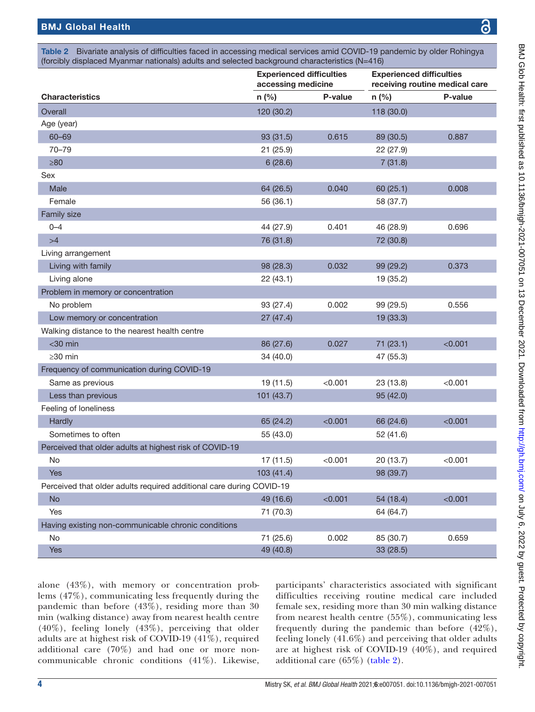<span id="page-3-0"></span>Table 2 Bivariate analysis of difficulties faced in accessing medical services amid COVID-19 pandemic by older Rohingya (forcibly displaced Myanmar nationals) adults and selected background characteristics (N=416)

|                                                                      | <b>Experienced difficulties</b><br>accessing medicine |         | <b>Experienced difficulties</b><br>receiving routine medical care |         |  |
|----------------------------------------------------------------------|-------------------------------------------------------|---------|-------------------------------------------------------------------|---------|--|
| <b>Characteristics</b>                                               | n (%)                                                 | P-value | $n$ (%)                                                           | P-value |  |
| Overall                                                              | 120 (30.2)                                            |         | 118 (30.0)                                                        |         |  |
| Age (year)                                                           |                                                       |         |                                                                   |         |  |
| $60 - 69$                                                            | 93 (31.5)                                             | 0.615   | 89 (30.5)                                                         | 0.887   |  |
| $70 - 79$                                                            | 21(25.9)                                              |         | 22 (27.9)                                                         |         |  |
| $\geq 80$                                                            | 6(28.6)                                               |         | 7(31.8)                                                           |         |  |
| Sex                                                                  |                                                       |         |                                                                   |         |  |
| Male                                                                 | 64 (26.5)                                             | 0.040   | 60 (25.1)                                                         | 0.008   |  |
| Female                                                               | 56 (36.1)                                             |         | 58 (37.7)                                                         |         |  |
| Family size                                                          |                                                       |         |                                                                   |         |  |
| $0 - 4$                                                              | 44 (27.9)                                             | 0.401   | 46 (28.9)                                                         | 0.696   |  |
| >4                                                                   | 76 (31.8)                                             |         | 72 (30.8)                                                         |         |  |
| Living arrangement                                                   |                                                       |         |                                                                   |         |  |
| Living with family                                                   | 98 (28.3)                                             | 0.032   | 99 (29.2)                                                         | 0.373   |  |
| Living alone                                                         | 22(43.1)                                              |         | 19 (35.2)                                                         |         |  |
| Problem in memory or concentration                                   |                                                       |         |                                                                   |         |  |
| No problem                                                           | 93 (27.4)                                             | 0.002   | 99(29.5)                                                          | 0.556   |  |
| Low memory or concentration                                          | 27(47.4)                                              |         | 19 (33.3)                                                         |         |  |
| Walking distance to the nearest health centre                        |                                                       |         |                                                                   |         |  |
| $<$ 30 min                                                           | 86 (27.6)                                             | 0.027   | 71 (23.1)                                                         | < 0.001 |  |
| $\geq$ 30 min                                                        | 34 (40.0)                                             |         | 47 (55.3)                                                         |         |  |
| Frequency of communication during COVID-19                           |                                                       |         |                                                                   |         |  |
| Same as previous                                                     | 19 (11.5)                                             | < 0.001 | 23 (13.8)                                                         | < 0.001 |  |
| Less than previous                                                   | 101 (43.7)                                            |         | 95 (42.0)                                                         |         |  |
| Feeling of loneliness                                                |                                                       |         |                                                                   |         |  |
| Hardly                                                               | 65 (24.2)                                             | < 0.001 | 66 (24.6)                                                         | < 0.001 |  |
| Sometimes to often                                                   | 55 (43.0)                                             |         | 52 (41.6)                                                         |         |  |
| Perceived that older adults at highest risk of COVID-19              |                                                       |         |                                                                   |         |  |
| No                                                                   | 17 (11.5)                                             | < 0.001 | 20 (13.7)                                                         | < 0.001 |  |
| <b>Yes</b>                                                           | 103(41.4)                                             |         | 98 (39.7)                                                         |         |  |
| Perceived that older adults required additional care during COVID-19 |                                                       |         |                                                                   |         |  |
| <b>No</b>                                                            | 49 (16.6)                                             | < 0.001 | 54 (18.4)                                                         | < 0.001 |  |
| Yes                                                                  | 71 (70.3)                                             |         | 64 (64.7)                                                         |         |  |
| Having existing non-communicable chronic conditions                  |                                                       |         |                                                                   |         |  |
| No                                                                   | 71 (25.6)                                             | 0.002   | 85 (30.7)                                                         | 0.659   |  |
| Yes                                                                  | 49 (40.8)                                             |         | 33 (28.5)                                                         |         |  |

alone (43%), with memory or concentration problems (47%), communicating less frequently during the pandemic than before (43%), residing more than 30 min (walking distance) away from nearest health centre (40%), feeling lonely (43%), perceiving that older adults are at highest risk of COVID-19 (41%), required additional care (70%) and had one or more noncommunicable chronic conditions (41%). Likewise,

participants' characteristics associated with significant difficulties receiving routine medical care included female sex, residing more than 30 min walking distance from nearest health centre (55%), communicating less frequently during the pandemic than before (42%), feeling lonely (41.6%) and perceiving that older adults are at highest risk of COVID-19 (40%), and required additional care (65%) ([table](#page-3-0) 2).

෬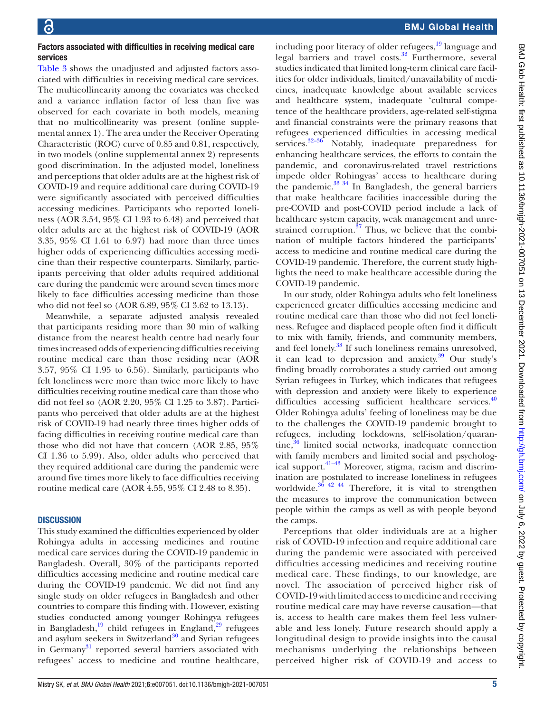#### Factors associated with difficulties in receiving medical care services

[Table](#page-5-0) 3 shows the unadjusted and adjusted factors associated with difficulties in receiving medical care services. The multicollinearity among the covariates was checked and a variance inflation factor of less than five was observed for each covariate in both models, meaning that no multicollinearity was present [\(online supple](https://dx.doi.org/10.1136/bmjgh-2021-007051)[mental annex 1](https://dx.doi.org/10.1136/bmjgh-2021-007051)). The area under the Receiver Operating Characteristic (ROC) curve of 0.85 and 0.81, respectively, in two models [\(online supplemental annex 2](https://dx.doi.org/10.1136/bmjgh-2021-007051)) represents good discrimination. In the adjusted model, loneliness and perceptions that older adults are at the highest risk of COVID-19 and require additional care during COVID-19 were significantly associated with perceived difficulties accessing medicines. Participants who reported loneliness (AOR 3.54, 95% CI 1.93 to 6.48) and perceived that older adults are at the highest risk of COVID-19 (AOR 3.35, 95% CI 1.61 to 6.97) had more than three times higher odds of experiencing difficulties accessing medicine than their respective counterparts. Similarly, participants perceiving that older adults required additional care during the pandemic were around seven times more likely to face difficulties accessing medicine than those who did not feel so (AOR 6.89, 95% CI 3.62 to 13.13).

Meanwhile, a separate adjusted analysis revealed that participants residing more than 30 min of walking distance from the nearest health centre had nearly four times increased odds of experiencing difficulties receiving routine medical care than those residing near (AOR 3.57, 95% CI 1.95 to 6.56). Similarly, participants who felt loneliness were more than twice more likely to have difficulties receiving routine medical care than those who did not feel so (AOR 2.20, 95% CI 1.25 to 3.87). Participants who perceived that older adults are at the highest risk of COVID-19 had nearly three times higher odds of facing difficulties in receiving routine medical care than those who did not have that concern (AOR 2.85, 95% CI 1.36 to 5.99). Also, older adults who perceived that they required additional care during the pandemic were around five times more likely to face difficulties receiving routine medical care (AOR 4.55, 95% CI 2.48 to 8.35).

#### **DISCUSSION**

This study examined the difficulties experienced by older Rohingya adults in accessing medicines and routine medical care services during the COVID-19 pandemic in Bangladesh. Overall, 30% of the participants reported difficulties accessing medicine and routine medical care during the COVID-19 pandemic. We did not find any single study on older refugees in Bangladesh and other countries to compare this finding with. However, existing studies conducted among younger Rohingya refugees in Bangladesh, $19$  child refugees in England, $29$  refugees and asylum seekers in Switzerland $30$  and Syrian refugees in Germany<sup>31</sup> reported several barriers associated with refugees' access to medicine and routine healthcare,

including poor literacy of older refugees, $^{19}$  language and legal barriers and travel costs. $32$  Furthermore, several studies indicated that limited long-term clinical care facilities for older individuals, limited/unavailability of medicines, inadequate knowledge about available services and healthcare system, inadequate 'cultural competence of the healthcare providers, age-related self-stigma and financial constraints were the primary reasons that refugees experienced difficulties in accessing medical services.<sup>32-36</sup> Notably, inadequate preparedness for enhancing healthcare services, the efforts to contain the pandemic, and coronavirus-related travel restrictions impede older Rohingyas' access to healthcare during the pandemic. $33 \frac{34}{1}$  In Bangladesh, the general barriers that make healthcare facilities inaccessible during the pre-COVID and post-COVID period include a lack of healthcare system capacity, weak management and unrestrained corruption. $37$  Thus, we believe that the combination of multiple factors hindered the participants' access to medicine and routine medical care during the COVID-19 pandemic. Therefore, the current study highlights the need to make healthcare accessible during the COVID-19 pandemic.

In our study, older Rohingya adults who felt loneliness experienced greater difficulties accessing medicine and routine medical care than those who did not feel loneliness. Refugee and displaced people often find it difficult to mix with family, friends, and community members, and feel lonely.<sup>[38](#page-9-1)</sup> If such loneliness remains unresolved, it can lead to depression and anxiety. $39$  Our study's finding broadly corroborates a study carried out among Syrian refugees in Turkey, which indicates that refugees with depression and anxiety were likely to experience difficulties accessing sufficient healthcare services.<sup>[40](#page-9-3)</sup> Older Rohingya adults' feeling of loneliness may be due to the challenges the COVID-19 pandemic brought to refugees, including lockdowns, self-isolation/quarantine, $36$  limited social networks, inadequate connection with family members and limited social and psychological support[.41–43](#page-9-4) Moreover, stigma, racism and discrimination are postulated to increase loneliness in refugees worldwide. $36$ <sup>42</sup> 44 Therefore, it is vital to strengthen the measures to improve the communication between people within the camps as well as with people beyond the camps.

Perceptions that older individuals are at a higher risk of COVID-19 infection and require additional care during the pandemic were associated with perceived difficulties accessing medicines and receiving routine medical care. These findings, to our knowledge, are novel. The association of perceived higher risk of COVID-19 with limited access to medicine and receiving routine medical care may have reverse causation—that is, access to health care makes them feel less vulnerable and less lonely. Future research should apply a longitudinal design to provide insights into the causal mechanisms underlying the relationships between perceived higher risk of COVID-19 and access to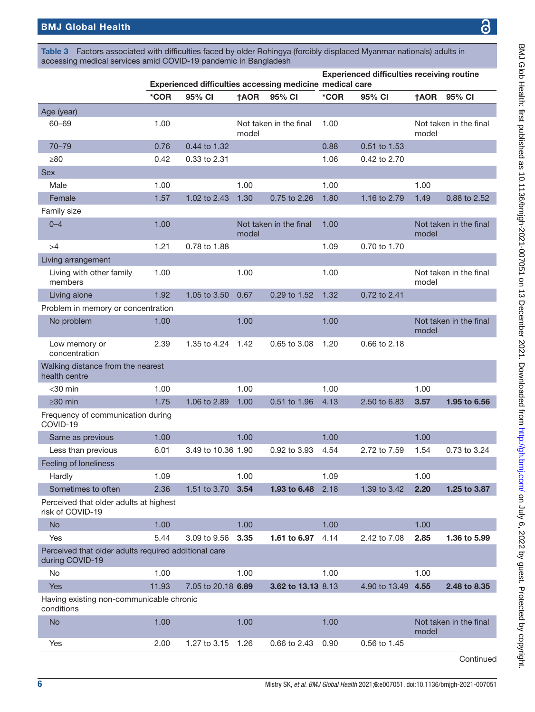<span id="page-5-0"></span>Table 3 Factors associated with difficulties faced by older Rohingya (forcibly displaced Myanmar nationals) adults in accessing medical services amid COVID-19 pandemic in Bangladesh

|                                                                         | Experienced difficulties accessing medicine medical care |                    | <b>Experienced difficulties receiving routine</b> |                        |      |               |             |                        |
|-------------------------------------------------------------------------|----------------------------------------------------------|--------------------|---------------------------------------------------|------------------------|------|---------------|-------------|------------------------|
|                                                                         | *COR                                                     | 95% CI             | <b>†AOR</b>                                       | 95% CI                 | *COR | 95% CI        | <b>†AOR</b> | 95% CI                 |
| Age (year)                                                              |                                                          |                    |                                                   |                        |      |               |             |                        |
| 60-69                                                                   | 1.00                                                     |                    | model                                             | Not taken in the final | 1.00 |               | model       | Not taken in the final |
| $70 - 79$                                                               | 0.76                                                     | 0.44 to 1.32       |                                                   |                        | 0.88 | 0.51 to 1.53  |             |                        |
| $\geq 80$                                                               | 0.42                                                     | 0.33 to 2.31       |                                                   |                        | 1.06 | 0.42 to 2.70  |             |                        |
| <b>Sex</b>                                                              |                                                          |                    |                                                   |                        |      |               |             |                        |
| Male                                                                    | 1.00                                                     |                    | 1.00                                              |                        | 1.00 |               | 1.00        |                        |
| Female                                                                  | 1.57                                                     | 1.02 to 2.43       | 1.30                                              | 0.75 to 2.26           | 1.80 | 1.16 to 2.79  | 1.49        | 0.88 to 2.52           |
| Family size                                                             |                                                          |                    |                                                   |                        |      |               |             |                        |
| $0 - 4$                                                                 | 1.00                                                     |                    | model                                             | Not taken in the final | 1.00 |               | model       | Not taken in the final |
| >4                                                                      | 1.21                                                     | 0.78 to 1.88       |                                                   |                        | 1.09 | 0.70 to 1.70  |             |                        |
| Living arrangement                                                      |                                                          |                    |                                                   |                        |      |               |             |                        |
| Living with other family<br>members                                     | 1.00                                                     |                    | 1.00                                              |                        | 1.00 |               | model       | Not taken in the final |
| Living alone                                                            | 1.92                                                     | 1.05 to 3.50       | 0.67                                              | 0.29 to 1.52           | 1.32 | 0.72 to 2.41  |             |                        |
| Problem in memory or concentration                                      |                                                          |                    |                                                   |                        |      |               |             |                        |
| No problem                                                              | 1.00                                                     |                    | 1.00                                              |                        | 1.00 |               | model       | Not taken in the final |
| Low memory or<br>concentration                                          | 2.39                                                     | 1.35 to 4.24       | 1.42                                              | 0.65 to 3.08           | 1.20 | 0.66 to 2.18  |             |                        |
| Walking distance from the nearest<br>health centre                      |                                                          |                    |                                                   |                        |      |               |             |                        |
| $<$ 30 min                                                              | 1.00                                                     |                    | 1.00                                              |                        | 1.00 |               | 1.00        |                        |
| $\geq$ 30 min                                                           | 1.75                                                     | 1.06 to 2.89       | 1.00                                              | 0.51 to 1.96           | 4.13 | 2.50 to 6.83  | 3.57        | 1.95 to 6.56           |
| Frequency of communication during<br>COVID-19                           |                                                          |                    |                                                   |                        |      |               |             |                        |
| Same as previous                                                        | 1.00                                                     |                    | 1.00                                              |                        | 1.00 |               | 1.00        |                        |
| Less than previous                                                      | 6.01                                                     | 3.49 to 10.36 1.90 |                                                   | 0.92 to 3.93           | 4.54 | 2.72 to 7.59  | 1.54        | 0.73 to 3.24           |
| Feeling of loneliness                                                   |                                                          |                    |                                                   |                        |      |               |             |                        |
| Hardly                                                                  | 1.09                                                     |                    | 1.00                                              |                        | 1.09 |               | 1.00        |                        |
| Sometimes to often                                                      | 2.36                                                     | 1.51 to 3.70       | 3.54                                              | 1.93 to 6.48           | 2.18 | 1.39 to 3.42  | 2.20        | 1.25 to 3.87           |
| Perceived that older adults at highest<br>risk of COVID-19              |                                                          |                    |                                                   |                        |      |               |             |                        |
| <b>No</b>                                                               | 1.00                                                     |                    | 1.00                                              |                        | 1.00 |               | 1.00        |                        |
| Yes                                                                     | 5.44                                                     | 3.09 to 9.56       | 3.35                                              | 1.61 to 6.97           | 4.14 | 2.42 to 7.08  | 2.85        | 1.36 to 5.99           |
| Perceived that older adults required additional care<br>during COVID-19 |                                                          |                    |                                                   |                        |      |               |             |                        |
| No                                                                      | 1.00                                                     |                    | 1.00                                              |                        | 1.00 |               | 1.00        |                        |
| <b>Yes</b>                                                              | 11.93                                                    | 7.05 to 20.18 6.89 |                                                   | 3.62 to 13.13 8.13     |      | 4.90 to 13.49 | 4.55        | 2.48 to 8.35           |
| Having existing non-communicable chronic<br>conditions                  |                                                          |                    |                                                   |                        |      |               |             |                        |
| <b>No</b>                                                               | 1.00                                                     |                    | 1.00                                              |                        | 1.00 |               | model       | Not taken in the final |
| Yes                                                                     | 2.00                                                     | 1.27 to 3.15       | 1.26                                              | 0.66 to 2.43           | 0.90 | 0.56 to 1.45  |             |                        |
|                                                                         |                                                          |                    |                                                   |                        |      |               |             | Continued              |

෬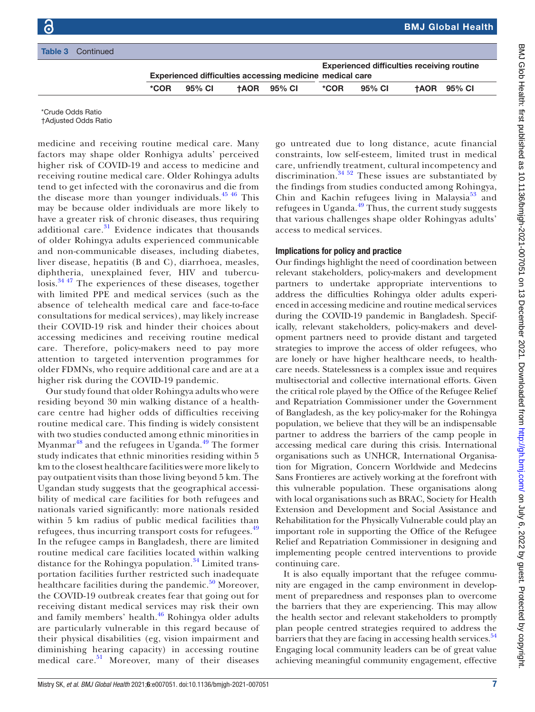|  | <b>Table 3</b> Continued |      |        |                                                          |      |                                                   |                    |
|--|--------------------------|------|--------|----------------------------------------------------------|------|---------------------------------------------------|--------------------|
|  |                          |      |        |                                                          |      | <b>Experienced difficulties receiving routine</b> |                    |
|  |                          |      |        | Experienced difficulties accessing medicine medical care |      |                                                   |                    |
|  |                          | *COR | 95% CI | <b>TAOR 95% CI</b>                                       | *COR | 95% CI                                            | <b>TAOR 95% CI</b> |
|  |                          |      |        |                                                          |      |                                                   |                    |

\*Crude Odds Ratio

†Adjusted Odds Ratio

medicine and receiving routine medical care. Many factors may shape older Ronhigya adults' perceived higher risk of COVID-19 and access to medicine and receiving routine medical care. Older Rohingya adults tend to get infected with the coronavirus and die from the disease more than younger individuals.  $45\frac{46}{10}$  This may be because older individuals are more likely to have a greater risk of chronic diseases, thus requiring additional care. $31$  Evidence indicates that thousands of older Rohingya adults experienced communicable and non-communicable diseases, including diabetes, liver disease, hepatitis (B and C), diarrhoea, measles, diphtheria, unexplained fever, HIV and tuberculosis.[34 47](#page-8-28) The experiences of these diseases, together with limited PPE and medical services (such as the absence of telehealth medical care and face-to-face consultations for medical services), may likely increase their COVID-19 risk and hinder their choices about accessing medicines and receiving routine medical care. Therefore, policy-makers need to pay more attention to targeted intervention programmes for older FDMNs, who require additional care and are at a higher risk during the COVID-19 pandemic.

Our study found that older Rohingya adults who were residing beyond 30 min walking distance of a healthcare centre had higher odds of difficulties receiving routine medical care. This finding is widely consistent with two studies conducted among ethnic minorities in Myanmar<sup>48</sup> and the refugees in Uganda.<sup>49</sup> The former study indicates that ethnic minorities residing within 5 km to the closest healthcare facilities were more likely to pay outpatient visits than those living beyond 5 km. The Ugandan study suggests that the geographical accessibility of medical care facilities for both refugees and nationals varied significantly: more nationals resided within 5 km radius of public medical facilities than refugees, thus incurring transport costs for refugees.<sup>[49](#page-9-7)</sup> In the refugee camps in Bangladesh, there are limited routine medical care facilities located within walking distance for the Rohingya population.<sup>34</sup> Limited transportation facilities further restricted such inadequate healthcare facilities during the pandemic. $50$  Moreover, the COVID-19 outbreak creates fear that going out for receiving distant medical services may risk their own and family members' health.<sup>46</sup> Rohingya older adults are particularly vulnerable in this regard because of their physical disabilities (eg, vision impairment and diminishing hearing capacity) in accessing routine medical care. $51$  Moreover, many of their diseases

go untreated due to long distance, acute financial constraints, low self-esteem, limited trust in medical care, unfriendly treatment, cultural incompetency and discrimination.[34 52](#page-8-28) These issues are substantiated by the findings from studies conducted among Rohingya, Chin and Kachin refugees living in Malaysia<sup>53</sup> and refugees in Uganda. $49$  Thus, the current study suggests that various challenges shape older Rohingyas adults' access to medical services.

## Implications for policy and practice

Our findings highlight the need of coordination between relevant stakeholders, policy-makers and development partners to undertake appropriate interventions to address the difficulties Rohingya older adults experienced in accessing medicine and routine medical services during the COVID-19 pandemic in Bangladesh. Specifically, relevant stakeholders, policy-makers and development partners need to provide distant and targeted strategies to improve the access of older refugees, who are lonely or have higher healthcare needs, to healthcare needs. Statelessness is a complex issue and requires multisectorial and collective international efforts. Given the critical role played by the Office of the Refugee Relief and Repatriation Commissioner under the Government of Bangladesh, as the key policy-maker for the Rohingya population, we believe that they will be an indispensable partner to address the barriers of the camp people in accessing medical care during this crisis. International organisations such as UNHCR, International Organisation for Migration, Concern Worldwide and Medecins Sans Frontieres are actively working at the forefront with this vulnerable population. These organisations along with local organisations such as BRAC, Society for Health Extension and Development and Social Assistance and Rehabilitation for the Physically Vulnerable could play an important role in supporting the Office of the Refugee Relief and Repatriation Commissioner in designing and implementing people centred interventions to provide continuing care.

It is also equally important that the refugee community are engaged in the camp environment in development of preparedness and responses plan to overcome the barriers that they are experiencing. This may allow the health sector and relevant stakeholders to promptly plan people centred strategies required to address the barriers that they are facing in accessing health services.<sup>54</sup> Engaging local community leaders can be of great value achieving meaningful community engagement, effective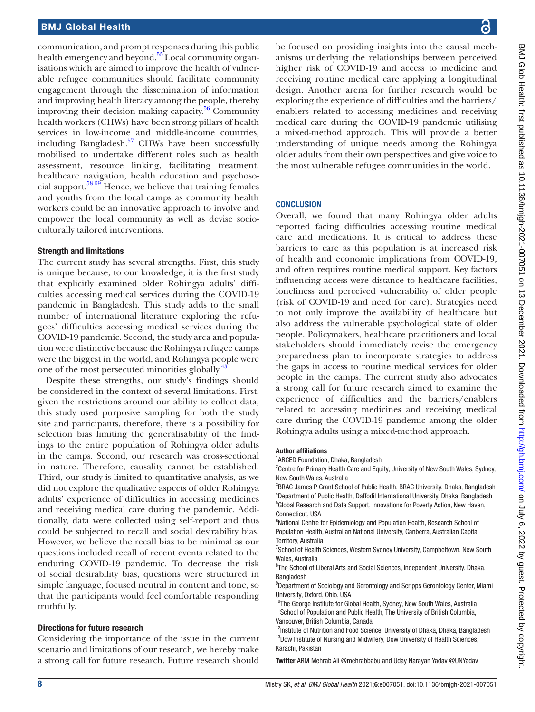communication, and prompt responses during this public health emergency and beyond.<sup>55</sup> Local community organisations which are aimed to improve the health of vulnerable refugee communities should facilitate community engagement through the dissemination of information and improving health literacy among the people, thereby improving their decision making capacity. $56$  Community health workers (CHWs) have been strong pillars of health services in low-income and middle-income countries, including Bangladesh.<sup>57</sup> CHWs have been successfully mobilised to undertake different roles such as health assessment, resource linking, facilitating treatment, healthcare navigation, health education and psychoso-cial support.<sup>[58 59](#page-9-16)</sup> Hence, we believe that training females and youths from the local camps as community health workers could be an innovative approach to involve and empower the local community as well as devise socioculturally tailored interventions.

### Strength and limitations

The current study has several strengths. First, this study is unique because, to our knowledge, it is the first study that explicitly examined older Rohingya adults' difficulties accessing medical services during the COVID-19 pandemic in Bangladesh. This study adds to the small number of international literature exploring the refugees' difficulties accessing medical services during the COVID-19 pandemic. Second, the study area and population were distinctive because the Rohingya refugee camps were the biggest in the world, and Rohingya people were one of the most persecuted minorities globally.<sup>4</sup>

Despite these strengths, our study's findings should be considered in the context of several limitations. First, given the restrictions around our ability to collect data, this study used purposive sampling for both the study site and participants, therefore, there is a possibility for selection bias limiting the generalisability of the findings to the entire population of Rohingya older adults in the camps. Second, our research was cross-sectional in nature. Therefore, causality cannot be established. Third, our study is limited to quantitative analysis, as we did not explore the qualitative aspects of older Rohingya adults' experience of difficulties in accessing medicines and receiving medical care during the pandemic. Additionally, data were collected using self-report and thus could be subjected to recall and social desirability bias. However, we believe the recall bias to be minimal as our questions included recall of recent events related to the enduring COVID-19 pandemic. To decrease the risk of social desirability bias, questions were structured in simple language, focused neutral in content and tone, so that the participants would feel comfortable responding truthfully.

## Directions for future research

Considering the importance of the issue in the current scenario and limitations of our research, we hereby make a strong call for future research. Future research should be focused on providing insights into the causal mechanisms underlying the relationships between perceived higher risk of COVID-19 and access to medicine and receiving routine medical care applying a longitudinal design. Another arena for further research would be exploring the experience of difficulties and the barriers/ enablers related to accessing medicines and receiving medical care during the COVID-19 pandemic utilising a mixed-method approach. This will provide a better understanding of unique needs among the Rohingya older adults from their own perspectives and give voice to the most vulnerable refugee communities in the world.

## **CONCLUSION**

Overall, we found that many Rohingya older adults reported facing difficulties accessing routine medical care and medications. It is critical to address these barriers to care as this population is at increased risk of health and economic implications from COVID-19, and often requires routine medical support. Key factors influencing access were distance to healthcare facilities, loneliness and perceived vulnerability of older people (risk of COVID-19 and need for care). Strategies need to not only improve the availability of healthcare but also address the vulnerable psychological state of older people. Policymakers, healthcare practitioners and local stakeholders should immediately revise the emergency preparedness plan to incorporate strategies to address the gaps in access to routine medical services for older people in the camps. The current study also advocates a strong call for future research aimed to examine the experience of difficulties and the barriers/enablers related to accessing medicines and receiving medical care during the COVID-19 pandemic among the older Rohingya adults using a mixed-method approach.

#### Author affiliations

<sup>1</sup> ARCED Foundation, Dhaka, Bangladesh

<sup>2</sup> Centre for Primary Health Care and Equity, University of New South Wales, Sydney, New South Wales, Australia

<sup>3</sup>BRAC James P Grant School of Public Health, BRAC University, Dhaka, Bangladesh 4 Department of Public Health, Daffodil International University, Dhaka, Bangladesh <sup>5</sup>Global Research and Data Support, Innovations for Poverty Action, New Haven, Connecticut, USA

<sup>6</sup>National Centre for Epidemiology and Population Health, Research School of Population Health, Australian National University, Canberra, Australian Capital Territory, Australia

<sup>7</sup>School of Health Sciences, Western Sydney University, Campbeltown, New South Wales, Australia

<sup>8</sup>The School of Liberal Arts and Social Sciences, Independent University, Dhaka, Bangladesh

<sup>9</sup>Department of Sociology and Gerontology and Scripps Gerontology Center, Miami University, Oxford, Ohio, USA

<sup>10</sup>The George Institute for Global Health, Sydney, New South Wales, Australia <sup>11</sup>School of Population and Public Health, The University of British Columbia, Vancouver, British Columbia, Canada

 $12$ Institute of Nutrition and Food Science, University of Dhaka, Dhaka, Bangladesh  $13$ Dow Institute of Nursing and Midwifery, Dow University of Health Sciences, Karachi, Pakistan

Twitter ARM Mehrab Ali [@mehrabbabu](https://twitter.com/mehrabbabu) and Uday Narayan Yadav [@UNYadav\\_](https://twitter.com/UNYadav_)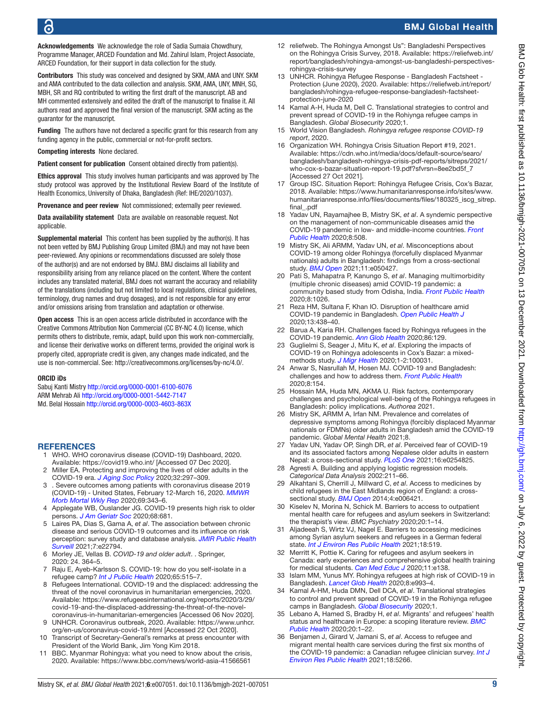Acknowledgements We acknowledge the role of Sadia Sumaia Chowdhury, Programme Manager, ARCED Foundation and Md. Zahirul Islam, Project Associate, ARCED Foundation, for their support in data collection for the study.

Contributors This study was conceived and designed by SKM, AMA and UNY. SKM and AMA contributed to the data collection and analysis. SKM, AMA, UNY, MNH, SG, MBH, SR and RQ contributed to writing the first draft of the manuscript. AB and MH commented extensively and edited the draft of the manuscript to finalise it. All authors read and approved the final version of the manuscript. SKM acting as the guarantor for the manuscript.

Funding The authors have not declared a specific grant for this research from any funding agency in the public, commercial or not-for-profit sectors.

#### Competing interests None declared.

Patient consent for publication Consent obtained directly from patient(s).

Ethics approval This study involves human participants and was approved by The study protocol was approved by the Institutional Review Board of the Institute of Health Economics, University of Dhaka, Bangladesh (Ref: IHE/2020/1037).

Provenance and peer review Not commissioned; externally peer reviewed.

Data availability statement Data are available on reasonable request. Not applicable.

Supplemental material This content has been supplied by the author(s). It has not been vetted by BMJ Publishing Group Limited (BMJ) and may not have been peer-reviewed. Any opinions or recommendations discussed are solely those of the author(s) and are not endorsed by BMJ. BMJ disclaims all liability and responsibility arising from any reliance placed on the content. Where the content includes any translated material, BMJ does not warrant the accuracy and reliability of the translations (including but not limited to local regulations, clinical guidelines, terminology, drug names and drug dosages), and is not responsible for any error and/or omissions arising from translation and adaptation or otherwise.

Open access This is an open access article distributed in accordance with the Creative Commons Attribution Non Commercial (CC BY-NC 4.0) license, which permits others to distribute, remix, adapt, build upon this work non-commercially, and license their derivative works on different terms, provided the original work is properly cited, appropriate credit is given, any changes made indicated, and the use is non-commercial. See:<http://creativecommons.org/licenses/by-nc/4.0/>.

#### ORCID iDs

Sabuj Kanti Mistry <http://orcid.org/0000-0001-6100-6076> ARM Mehrab Ali<http://orcid.org/0000-0001-5442-7147> Md. Belal Hossain<http://orcid.org/0000-0003-4603-863X>

#### <span id="page-8-0"></span>**REFERENCES**

- 1 WHO. WHO coronavirus disease (COVID-19) Dashboard, 2020. Available:<https://covid19.who.int/>[Accessed 07 Dec 2020].
- <span id="page-8-1"></span>2 Miller EA. Protecting and improving the lives of older adults in the COVID-19 era. *[J Aging Soc Policy](http://dx.doi.org/10.1080/08959420.2020.1780104)* 2020;32:297–309.
- <span id="page-8-2"></span>3 . Severe outcomes among patients with coronavirus disease 2019 (COVID-19) - United States, February 12-March 16, 2020. *[MMWR](http://dx.doi.org/10.15585/mmwr.mm6912e2)  [Morb Mortal Wkly Rep](http://dx.doi.org/10.15585/mmwr.mm6912e2)* 2020;69:343–6.
- 4 Applegate WB, Ouslander JG. COVID-19 presents high risk to older persons. *[J Am Geriatr Soc](http://dx.doi.org/10.1111/jgs.16426)* 2020;68:681.
- <span id="page-8-20"></span>5 Laires PA, Dias S, Gama A, *et al*. The association between chronic disease and serious COVID-19 outcomes and its influence on risk perception: survey study and database analysis. *[JMIR Public Health](http://dx.doi.org/10.2196/22794)  [Surveill](http://dx.doi.org/10.2196/22794)* 2021;7:e22794.
- <span id="page-8-3"></span>6 Morley JE, Vellas B. *[COVID-19 and older adult](http://dx.doi.org/10.1007/s12603-020-1349-9)*. . Springer, 2020: 24. 364–5.
- <span id="page-8-4"></span>7 Raju E, Ayeb-Karlsson S. COVID-19: how do you self-isolate in a refugee camp? *[Int J Public Health](http://dx.doi.org/10.1007/s00038-020-01381-8)* 2020;65:515–7.
- <span id="page-8-5"></span>8 Refugees International. COVID-19 and the displaced: addressing the threat of the novel coronavirus in humanitarian emergencies, 2020. Available: [https://www.refugeesinternational.org/reports/2020/3/29/](https://www.refugeesinternational.org/reports/2020/3/29/covid-19-and-the-displaced-addressing-the-threat-of-the-novel-coronavirus-in-humanitarian-emergencies) [covid-19-and-the-displaced-addressing-the-threat-of-the-novel](https://www.refugeesinternational.org/reports/2020/3/29/covid-19-and-the-displaced-addressing-the-threat-of-the-novel-coronavirus-in-humanitarian-emergencies)[coronavirus-in-humanitarian-emergencies](https://www.refugeesinternational.org/reports/2020/3/29/covid-19-and-the-displaced-addressing-the-threat-of-the-novel-coronavirus-in-humanitarian-emergencies) [Accessed 06 Nov 2020].
- <span id="page-8-6"></span>9 UNHCR. Coronavirus outbreak, 2020. Available: [https://www.unhcr.](https://www.unhcr.org/en-us/coronavirus-covid-19.html) [org/en-us/coronavirus-covid-19.html](https://www.unhcr.org/en-us/coronavirus-covid-19.html) [Accessed 22 Oct 2020].
- <span id="page-8-7"></span>10 Transcript of Secretary-General's remarks at press encounter with President of the World Bank, Jim Yong Kim 2018.
- <span id="page-8-8"></span>11 BBC. Myanmar Rohingya: what you need to know about the crisis, 2020. Available: <https://www.bbc.com/news/world-asia-41566561>
- <span id="page-8-9"></span>12 reliefweb. The Rohingya Amongst Us": Bangladeshi Perspectives on the Rohingya Crisis Survey, 2018. Available: [https://reliefweb.int/](https://reliefweb.int/report/bangladesh/rohingya-amongst-us-bangladeshi-perspectives-rohingya-crisis-survey) [report/bangladesh/rohingya-amongst-us-bangladeshi-perspectives](https://reliefweb.int/report/bangladesh/rohingya-amongst-us-bangladeshi-perspectives-rohingya-crisis-survey)[rohingya-crisis-survey](https://reliefweb.int/report/bangladesh/rohingya-amongst-us-bangladeshi-perspectives-rohingya-crisis-survey)
- <span id="page-8-10"></span>13 UNHCR. Rohingya Refugee Response - Bangladesh Factsheet - Protection (June 2020), 2020. Available: [https://reliefweb.int/report/](https://reliefweb.int/report/bangladesh/rohingya-refugee-response-bangladesh-factsheet-protection-june-2020) [bangladesh/rohingya-refugee-response-bangladesh-factsheet](https://reliefweb.int/report/bangladesh/rohingya-refugee-response-bangladesh-factsheet-protection-june-2020)[protection-june-2020](https://reliefweb.int/report/bangladesh/rohingya-refugee-response-bangladesh-factsheet-protection-june-2020)
- <span id="page-8-11"></span>14 Kamal A-H, Huda M, Dell C. Translational strategies to control and prevent spread of COVID-19 in the Rohiynga refugee camps in Bangladesh. *Global Biosecurity* 2020;1.
- <span id="page-8-12"></span>15 World Vision Bangladesh. *Rohingya refugee response COVID-19 report*, 2020.
- <span id="page-8-13"></span>16 Organization WH. Rohingya Crisis Situation Report #19, 2021. Available: [https://cdn.who.int/media/docs/default-source/searo/](https://cdn.who.int/media/docs/default-source/searo/bangladesh/bangladesh-rohingya-crisis-pdf-reports/sitreps/2021/who-cox-s-bazar-situation-report-19.pdf?sfvrsn=8ee2bd5f_7) [bangladesh/bangladesh-rohingya-crisis-pdf-reports/sitreps/2021/](https://cdn.who.int/media/docs/default-source/searo/bangladesh/bangladesh-rohingya-crisis-pdf-reports/sitreps/2021/who-cox-s-bazar-situation-report-19.pdf?sfvrsn=8ee2bd5f_7) [who-cox-s-bazar-situation-report-19.pdf?sfvrsn=8ee2bd5f\\_7](https://cdn.who.int/media/docs/default-source/searo/bangladesh/bangladesh-rohingya-crisis-pdf-reports/sitreps/2021/who-cox-s-bazar-situation-report-19.pdf?sfvrsn=8ee2bd5f_7)  [Accessed 27 Oct 2021].
- <span id="page-8-14"></span>17 Group ISC. Situation Report: Rohingya Refugee Crisis, Cox's Bazar, 2018. Available: [https://www.humanitarianresponse.info/sites/www.](https://www.humanitarianresponse.info/sites/www.humanitarianresponse.info/files/documents/files/180325_iscg_sitrep.final_.pdf) humanitarianresponse.info/files/documents/files/180325 iscq sitrep. [final\\_.pdf](https://www.humanitarianresponse.info/sites/www.humanitarianresponse.info/files/documents/files/180325_iscg_sitrep.final_.pdf)
- <span id="page-8-15"></span>18 Yadav UN, Rayamajhee B, Mistry SK, *et al*. A syndemic perspective on the management of non-communicable diseases amid the COVID-19 pandemic in low- and middle-income countries. *[Front](http://dx.doi.org/10.3389/fpubh.2020.00508)  [Public Health](http://dx.doi.org/10.3389/fpubh.2020.00508)* 2020;8:508.
- <span id="page-8-16"></span>19 Mistry SK, Ali ARMM, Yadav UN, *et al*. Misconceptions about COVID-19 among older Rohingya (forcefully displaced Myanmar nationals) adults in Bangladesh: findings from a cross-sectional study. *[BMJ Open](http://dx.doi.org/10.1136/bmjopen-2021-050427)* 2021;11:e050427.
- <span id="page-8-17"></span>20 Pati S, Mahapatra P, Kanungo S, *et al*. Managing multimorbidity (multiple chronic diseases) amid COVID-19 pandemic: a community based study from Odisha, India. *[Front Public Health](http://dx.doi.org/10.3389/fpubh.2020.584408)* 2020;8:1026.
- 21 Reza HM, Sultana F, Khan IO. Disruption of healthcare amid COVID-19 pandemic in Bangladesh. *[Open Public Health J](http://dx.doi.org/10.2174/1874944502013010438)* 2020;13:438–40.
- <span id="page-8-18"></span>22 Barua A, Karia RH. Challenges faced by Rohingya refugees in the COVID-19 pandemic. *[Ann Glob Health](http://dx.doi.org/10.5334/aogh.3052)* 2020;86:129.
- 23 Guglielmi S, Seager J, Mitu K, *et al*. Exploring the impacts of COVID-19 on Rohingya adolescents in Cox's Bazar: a mixedmethods study. *[J Migr Health](http://dx.doi.org/10.1016/j.jmh.2020.100031)* 2020;1-2:100031.
- <span id="page-8-19"></span>24 Anwar S, Nasrullah M, Hosen MJ. COVID-19 and Bangladesh: challenges and how to address them. *[Front Public Health](http://dx.doi.org/10.3389/fpubh.2020.00154)* 2020;8:154.
- 25 Hossain MA, Huda MN, AKMA U. Risk factors, contemporary challenges and psychological well-being of the Rohingya refugees in Bangladesh: policy implications. *Authorea* 2021.
- 26 Mistry SK, ARMM A, Irfan NM. Prevalence and correlates of depressive symptoms among Rohingya (forcibly displaced Myanmar nationals or FDMNs) older adults in Bangladesh amid the COVID-19 pandemic. *Global Mental Health* 2021;8.
- 27 Yadav UN, Yadav OP, Singh DR, *et al*. Perceived fear of COVID-19 and its associated factors among Nepalese older adults in eastern Nepal: a cross-sectional study. *[PLoS One](http://dx.doi.org/10.1371/journal.pone.0254825)* 2021;16:e0254825.
- <span id="page-8-21"></span>28 Agresti A. Building and applying logistic regression models. *Categorical Data Analysis* 2002:211–66.
- <span id="page-8-22"></span>29 Alkahtani S, Cherrill J, Millward C, *et al*. Access to medicines by child refugees in the East Midlands region of England: a crosssectional study. *[BMJ Open](http://dx.doi.org/10.1136/bmjopen-2014-006421)* 2014;4:e006421.
- <span id="page-8-23"></span>30 Kiselev N, Morina N, Schick M. Barriers to access to outpatient mental health care for refugees and asylum seekers in Switzerland: the therapist's view. *BMC Psychiatry* 2020;20:1–14.
- <span id="page-8-24"></span>31 Aljadeeah S, Wirtz VJ, Nagel E. Barriers to accessing medicines among Syrian asylum seekers and refugees in a German federal state. *[Int J Environ Res Public Health](http://dx.doi.org/10.3390/ijerph18020519)* 2021;18:519.
- <span id="page-8-25"></span>32 Merritt K, Pottie K. Caring for refugees and asylum seekers in Canada: early experiences and comprehensive global health training for medical students. *[Can Med Educ J](http://dx.doi.org/10.36834/cmej.69677)* 2020;11:e138.
- <span id="page-8-26"></span>33 Islam MM, Yunus MY. Rohingya refugees at high risk of COVID-19 in Bangladesh. *[Lancet Glob Health](http://dx.doi.org/10.1016/S2214-109X(20)30282-5)* 2020;8:e993–4.
- <span id="page-8-28"></span>34 Kamal A-HM, Huda DMN, Dell DCA, *et al*. Translational strategies to control and prevent spread of COVID-19 in the Rohiynga refugee camps in Bangladesh. *[Global Biosecurity](http://dx.doi.org/10.31646/gbio.77)* 2020;1.
- 35 Lebano A, Hamed S, Bradby H, *et al*. Migrants' and refugees' health status and healthcare in Europe: a scoping literature review. *[BMC](http://dx.doi.org/10.1186/s12889-020-08749-8)  [Public Health](http://dx.doi.org/10.1186/s12889-020-08749-8)* 2020;20:1–22.
- <span id="page-8-27"></span>36 Benjamen J, Girard V, Jamani S, *et al*. Access to refugee and migrant mental health care services during the first six months of the COVID-19 pandemic: a Canadian refugee clinician survey. *[Int J](http://dx.doi.org/10.3390/ijerph18105266)  [Environ Res Public Health](http://dx.doi.org/10.3390/ijerph18105266)* 2021;18:5266.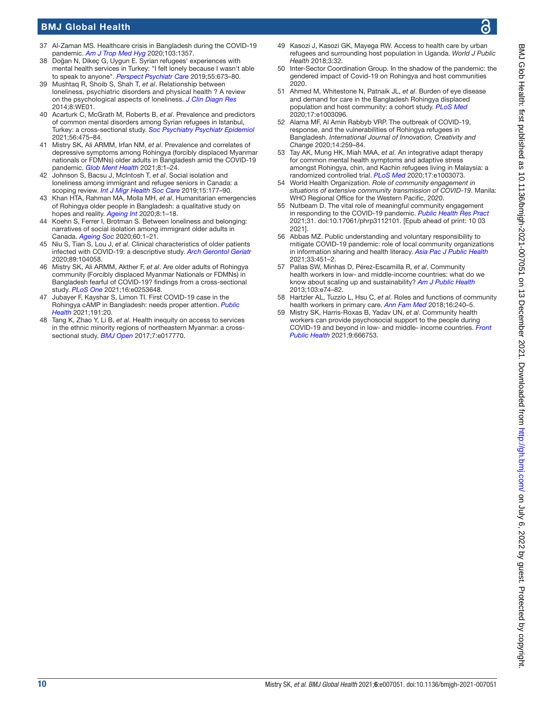- <span id="page-9-0"></span>37 Al-Zaman MS. Healthcare crisis in Bangladesh during the COVID-19 pandemic. *[Am J Trop Med Hyg](http://dx.doi.org/10.4269/ajtmh.20-0826)* 2020;103:1357.
- <span id="page-9-1"></span>38 Doğan N, Dikeç G, Uygun E. Syrian refugees' experiences with mental health services in Turkey: "I felt lonely because I wasn't able to speak to anyone". *[Perspect Psychiatr Care](http://dx.doi.org/10.1111/ppc.12400)* 2019;55:673–80.
- <span id="page-9-2"></span>39 Mushtaq R, Shoib S, Shah T, *et al*. Relationship between loneliness, psychiatric disorders and physical health ? A review on the psychological aspects of loneliness. *[J Clin Diagn Res](http://dx.doi.org/10.7860/JCDR/2014/10077.4828)* 2014;8:WE01.
- <span id="page-9-3"></span>40 Acarturk C, McGrath M, Roberts B, *et al*. Prevalence and predictors of common mental disorders among Syrian refugees in Istanbul, Turkey: a cross-sectional study. *[Soc Psychiatry Psychiatr Epidemiol](http://dx.doi.org/10.1007/s00127-020-01941-6)* 2021;56:475–84.
- <span id="page-9-4"></span>41 Mistry SK, Ali ARMM, Irfan NM, *et al*. Prevalence and correlates of depressive symptoms among Rohingya (forcibly displaced Myanmar nationals or FDMNs) older adults in Bangladesh amid the COVID-19 pandemic. *[Glob Ment Health](http://dx.doi.org/10.1017/gmh.2021.24)* 2021;8:1–24.
- 42 Johnson S, Bacsu J, McIntosh T, *et al*. Social isolation and loneliness among immigrant and refugee seniors in Canada: a scoping review. *[Int J Migr Health Soc Care](http://dx.doi.org/10.1108/IJMHSC-10-2018-0067)* 2019;15:177–90.
- <span id="page-9-17"></span>43 Khan HTA, Rahman MA, Molla MH, *et al*. Humanitarian emergencies of Rohingya older people in Bangladesh: a qualitative study on hopes and reality. *[Ageing Int](http://dx.doi.org/10.1007/s12126-020-09400-y)* 2020;8:1–18.
- 44 Koehn S, Ferrer I, Brotman S. Between loneliness and belonging: narratives of social isolation among immigrant older adults in Canada. *[Ageing Soc](http://dx.doi.org/10.1017/S0144686X20001348)* 2020;60:1–21.
- <span id="page-9-5"></span>45 Niu S, Tian S, Lou J, *et al*. Clinical characteristics of older patients infected with COVID-19: a descriptive study. *[Arch Gerontol Geriatr](http://dx.doi.org/10.1016/j.archger.2020.104058)* 2020;89:104058.
- <span id="page-9-9"></span>46 Mistry SK, Ali ARMM, Akther F, *et al*. Are older adults of Rohingya community (Forcibly displaced Myanmar Nationals or FDMNs) in Bangladesh fearful of COVID-19? findings from a cross-sectional study. *[PLoS One](http://dx.doi.org/10.1371/journal.pone.0253648)* 2021;16:e0253648.
- 47 Jubayer F, Kayshar S, Limon TI. First COVID-19 case in the Rohingya cAMP in Bangladesh: needs proper attention. *[Public](http://dx.doi.org/10.1016/j.puhe.2020.05.033)  [Health](http://dx.doi.org/10.1016/j.puhe.2020.05.033)* 2021;191:20.
- <span id="page-9-6"></span>48 Tang K, Zhao Y, Li B, *et al*. Health inequity on access to services in the ethnic minority regions of northeastern Myanmar: a crosssectional study. *[BMJ Open](http://dx.doi.org/10.1136/bmjopen-2017-017770)* 2017;7:e017770.
- <span id="page-9-7"></span>49 Kasozi J, Kasozi GK, Mayega RW. Access to health care by urban refugees and surrounding host population in Uganda. *World J Public Health* 2018;3:32.
- <span id="page-9-8"></span>50 Inter-Sector Coordination Group. In the shadow of the pandemic: the gendered impact of Covid-19 on Rohingya and host communities 2020.
- <span id="page-9-10"></span>51 Ahmed M, Whitestone N, Patnaik JL, *et al*. Burden of eye disease and demand for care in the Bangladesh Rohingya displaced population and host community: a cohort study. *[PLoS Med](http://dx.doi.org/10.1371/journal.pmed.1003096)* 2020;17:e1003096.
- 52 Alama MF, Al Amin Rabbyb VRP. The outbreak of COVID-19, response, and the vulnerabilities of Rohingya refugees in Bangladesh. *International Journal of Innovation, Creativity and Change* 2020;14:259–84.
- <span id="page-9-11"></span>53 Tay AK, Mung HK, Miah MAA, *et al*. An integrative adapt therapy for common mental health symptoms and adaptive stress amongst Rohingya, chin, and Kachin refugees living in Malaysia: a randomized controlled trial. *[PLoS Med](http://dx.doi.org/10.1371/journal.pmed.1003073)* 2020;17:e1003073.
- <span id="page-9-12"></span>54 World Health Organization. *Role of community engagement in situations of extensive community transmission of COVID-19*. Manila: WHO Regional Office for the Western Pacific, 2020.
- <span id="page-9-13"></span>55 Nutbeam D. The vital role of meaningful community engagement in responding to the COVID-19 pandemic. *[Public Health Res Pract](http://dx.doi.org/10.17061/phrp3112101)* 2021;31. doi:10.17061/phrp3112101. [Epub ahead of print: 10 03 2021].
- <span id="page-9-14"></span>56 Abbas MZ. Public understanding and voluntary responsibility to mitigate COVID-19 pandemic: role of local community organizations in information sharing and health literacy. *[Asia Pac J Public Health](http://dx.doi.org/10.1177/10105395211002656)* 2021;33:451–2.
- <span id="page-9-15"></span>57 Pallas SW, Minhas D, Pérez-Escamilla R, *et al*. Community health workers in low- and middle-income countries: what do we know about scaling up and sustainability? *[Am J Public Health](http://dx.doi.org/10.2105/AJPH.2012.301102)* 2013;103:e74–82.
- <span id="page-9-16"></span>58 Hartzler AL, Tuzzio L, Hsu C, *et al*. Roles and functions of community health workers in primary care. *[Ann Fam Med](http://dx.doi.org/10.1370/afm.2208)* 2018;16:240–5.
- 59 Mistry SK, Harris-Roxas B, Yadav UN, *et al*. Community health workers can provide psychosocial support to the people during COVID-19 and beyond in low- and middle- income countries. *[Front](http://dx.doi.org/10.3389/fpubh.2021.666753)  [Public Health](http://dx.doi.org/10.3389/fpubh.2021.666753)* 2021;9:666753.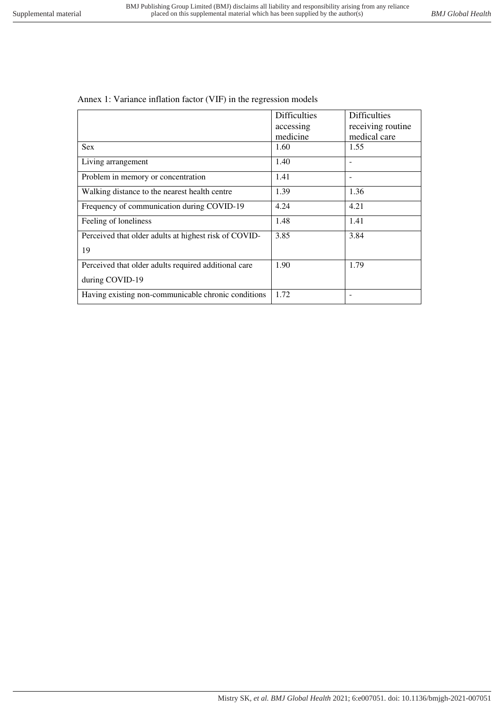| Annex 1: Variance inflation factor (VIF) in the regression models |  |
|-------------------------------------------------------------------|--|
|-------------------------------------------------------------------|--|

|                                                       | <b>Difficulties</b> | <b>Difficulties</b> |
|-------------------------------------------------------|---------------------|---------------------|
|                                                       | accessing           | receiving routine   |
|                                                       | medicine            | medical care        |
| <b>Sex</b>                                            | 1.60                | 1.55                |
| Living arrangement                                    | 1.40                |                     |
| Problem in memory or concentration                    | 1.41                |                     |
| Walking distance to the nearest health centre         | 1.39                | 1.36                |
| Frequency of communication during COVID-19            | 4.24                | 4.21                |
| Feeling of loneliness                                 | 1.48                | 1.41                |
| Perceived that older adults at highest risk of COVID- | 3.85                | 3.84                |
| 19                                                    |                     |                     |
| Perceived that older adults required additional care  | 1.90                | 1.79                |
| during COVID-19                                       |                     |                     |
| Having existing non-communicable chronic conditions   | 1.72                |                     |